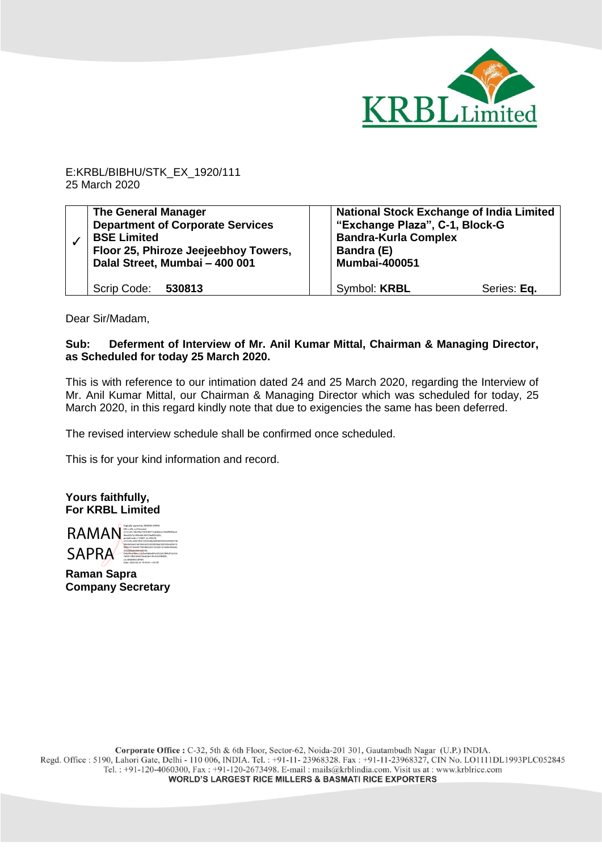

E:KRBL/BIBHU/STK\_EX\_1920/111 25 March 2020

| <b>The General Manager</b><br><b>Department of Corporate Services</b><br><b>BSE Limited</b><br>Floor 25, Phiroze Jeejeebhoy Towers,<br>Dalal Street, Mumbai - 400 001 | <b>National Stock Exchange of India Limited</b><br>"Exchange Plaza", C-1, Block-G<br><b>Bandra-Kurla Complex</b><br>Bandra (E)<br><b>Mumbai-400051</b> |
|-----------------------------------------------------------------------------------------------------------------------------------------------------------------------|--------------------------------------------------------------------------------------------------------------------------------------------------------|
| Scrip Code: 530813                                                                                                                                                    | Symbol: KRBL<br>Series: Eq.                                                                                                                            |

Dear Sir/Madam,

## **Sub: Deferment of Interview of Mr. Anil Kumar Mittal, Chairman & Managing Director, as Scheduled for today 25 March 2020.**

This is with reference to our intimation dated 24 and 25 March 2020, regarding the Interview of Mr. Anil Kumar Mittal, our Chairman & Managing Director which was scheduled for today, 25 March 2020, in this regard kindly note that due to exigencies the same has been deferred.

The revised interview schedule shall be confirmed once scheduled.

This is for your kind information and record.

**Yours faithfully, For KRBL Limited**



**Raman Sapra Company Secretary**